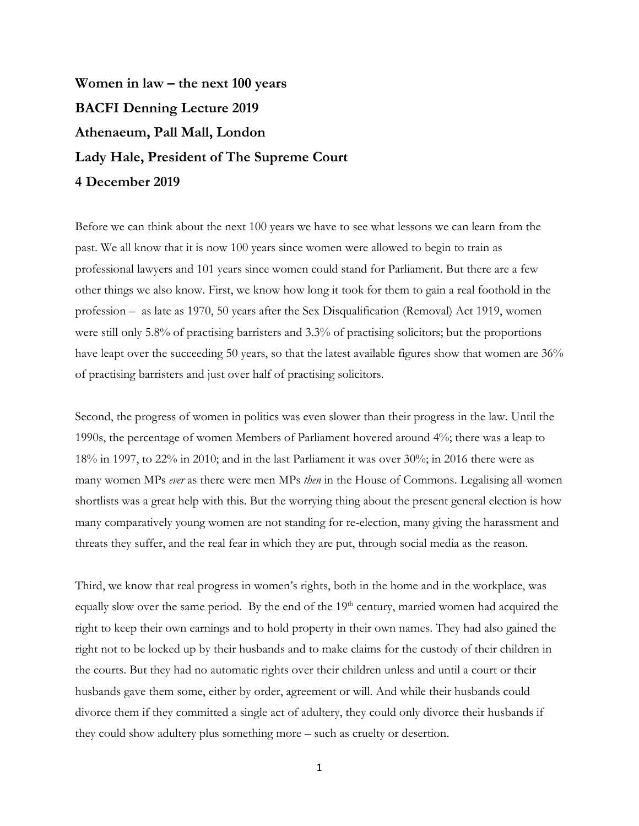**Women in law – the next 100 years BACFI Denning Lecture 2019 Athenaeum, Pall Mall, London Lady Hale, President of The Supreme Court 4 December 2019**

Before we can think about the next 100 years we have to see what lessons we can learn from the past. We all know that it is now 100 years since women were allowed to begin to train as professional lawyers and 101 years since women could stand for Parliament. But there are a few other things we also know. First, we know how long it took for them to gain a real foothold in the profession – as late as 1970, 50 years after the Sex Disqualification (Removal) Act 1919, women were still only 5.8% of practising barristers and 3.3% of practising solicitors; but the proportions have leapt over the succeeding 50 years, so that the latest available figures show that women are 36% of practising barristers and just over half of practising solicitors.

Second, the progress of women in politics was even slower than their progress in the law. Until the 1990s, the percentage of women Members of Parliament hovered around 4%; there was a leap to 18% in 1997, to 22% in 2010; and in the last Parliament it was over 30%; in 2016 there were as many women MPs *ever* as there were men MPs *then* in the House of Commons. Legalising all-women shortlists was a great help with this. But the worrying thing about the present general election is how many comparatively young women are not standing for re-election, many giving the harassment and threats they suffer, and the real fear in which they are put, through social media as the reason.

Third, we know that real progress in women's rights, both in the home and in the workplace, was equally slow over the same period. By the end of the 19<sup>th</sup> century, married women had acquired the right to keep their own earnings and to hold property in their own names. They had also gained the right not to be locked up by their husbands and to make claims for the custody of their children in the courts. But they had no automatic rights over their children unless and until a court or their husbands gave them some, either by order, agreement or will. And while their husbands could divorce them if they committed a single act of adultery, they could only divorce their husbands if they could show adultery plus something more – such as cruelty or desertion.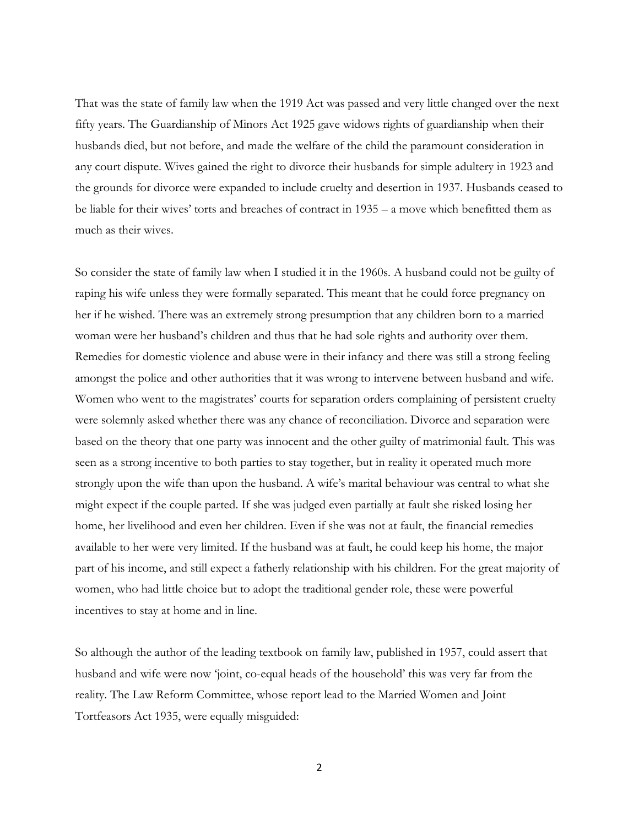That was the state of family law when the 1919 Act was passed and very little changed over the next fifty years. The Guardianship of Minors Act 1925 gave widows rights of guardianship when their husbands died, but not before, and made the welfare of the child the paramount consideration in any court dispute. Wives gained the right to divorce their husbands for simple adultery in 1923 and the grounds for divorce were expanded to include cruelty and desertion in 1937. Husbands ceased to be liable for their wives' torts and breaches of contract in 1935 – a move which benefitted them as much as their wives.

So consider the state of family law when I studied it in the 1960s. A husband could not be guilty of raping his wife unless they were formally separated. This meant that he could force pregnancy on her if he wished. There was an extremely strong presumption that any children born to a married woman were her husband's children and thus that he had sole rights and authority over them. Remedies for domestic violence and abuse were in their infancy and there was still a strong feeling amongst the police and other authorities that it was wrong to intervene between husband and wife. Women who went to the magistrates' courts for separation orders complaining of persistent cruelty were solemnly asked whether there was any chance of reconciliation. Divorce and separation were based on the theory that one party was innocent and the other guilty of matrimonial fault. This was seen as a strong incentive to both parties to stay together, but in reality it operated much more strongly upon the wife than upon the husband. A wife's marital behaviour was central to what she might expect if the couple parted. If she was judged even partially at fault she risked losing her home, her livelihood and even her children. Even if she was not at fault, the financial remedies available to her were very limited. If the husband was at fault, he could keep his home, the major part of his income, and still expect a fatherly relationship with his children. For the great majority of women, who had little choice but to adopt the traditional gender role, these were powerful incentives to stay at home and in line.

So although the author of the leading textbook on family law, published in 1957, could assert that husband and wife were now 'joint, co-equal heads of the household' this was very far from the reality. The Law Reform Committee, whose report lead to the Married Women and Joint Tortfeasors Act 1935, were equally misguided: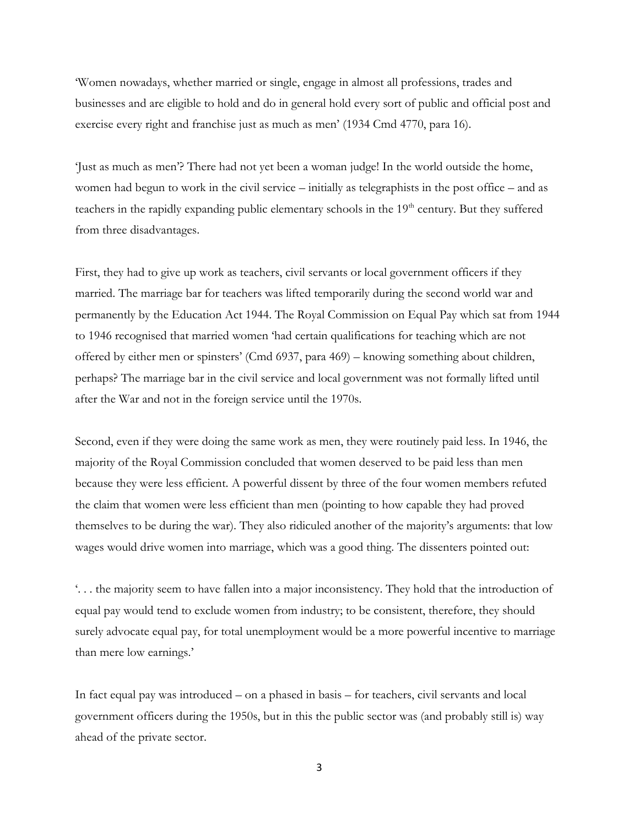'Women nowadays, whether married or single, engage in almost all professions, trades and businesses and are eligible to hold and do in general hold every sort of public and official post and exercise every right and franchise just as much as men' (1934 Cmd 4770, para 16).

'Just as much as men'? There had not yet been a woman judge! In the world outside the home, women had begun to work in the civil service – initially as telegraphists in the post office – and as teachers in the rapidly expanding public elementary schools in the 19<sup>th</sup> century. But they suffered from three disadvantages.

First, they had to give up work as teachers, civil servants or local government officers if they married. The marriage bar for teachers was lifted temporarily during the second world war and permanently by the Education Act 1944. The Royal Commission on Equal Pay which sat from 1944 to 1946 recognised that married women 'had certain qualifications for teaching which are not offered by either men or spinsters' (Cmd 6937, para 469) – knowing something about children, perhaps? The marriage bar in the civil service and local government was not formally lifted until after the War and not in the foreign service until the 1970s.

Second, even if they were doing the same work as men, they were routinely paid less. In 1946, the majority of the Royal Commission concluded that women deserved to be paid less than men because they were less efficient. A powerful dissent by three of the four women members refuted the claim that women were less efficient than men (pointing to how capable they had proved themselves to be during the war). They also ridiculed another of the majority's arguments: that low wages would drive women into marriage, which was a good thing. The dissenters pointed out:

'. . . the majority seem to have fallen into a major inconsistency. They hold that the introduction of equal pay would tend to exclude women from industry; to be consistent, therefore, they should surely advocate equal pay, for total unemployment would be a more powerful incentive to marriage than mere low earnings.'

In fact equal pay was introduced – on a phased in basis – for teachers, civil servants and local government officers during the 1950s, but in this the public sector was (and probably still is) way ahead of the private sector.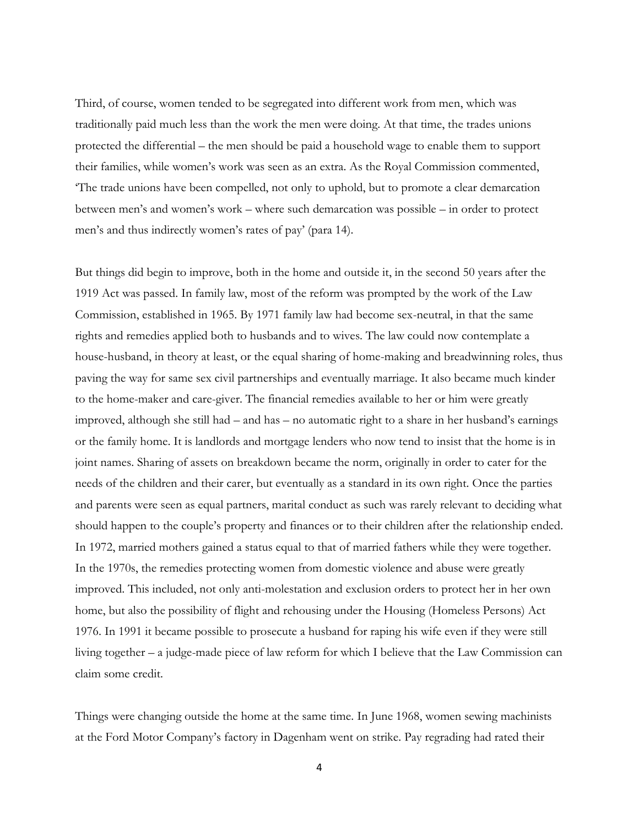Third, of course, women tended to be segregated into different work from men, which was traditionally paid much less than the work the men were doing. At that time, the trades unions protected the differential – the men should be paid a household wage to enable them to support their families, while women's work was seen as an extra. As the Royal Commission commented, 'The trade unions have been compelled, not only to uphold, but to promote a clear demarcation between men's and women's work – where such demarcation was possible – in order to protect men's and thus indirectly women's rates of pay' (para 14).

But things did begin to improve, both in the home and outside it, in the second 50 years after the 1919 Act was passed. In family law, most of the reform was prompted by the work of the Law Commission, established in 1965. By 1971 family law had become sex-neutral, in that the same rights and remedies applied both to husbands and to wives. The law could now contemplate a house-husband, in theory at least, or the equal sharing of home-making and breadwinning roles, thus paving the way for same sex civil partnerships and eventually marriage. It also became much kinder to the home-maker and care-giver. The financial remedies available to her or him were greatly improved, although she still had – and has – no automatic right to a share in her husband's earnings or the family home. It is landlords and mortgage lenders who now tend to insist that the home is in joint names. Sharing of assets on breakdown became the norm, originally in order to cater for the needs of the children and their carer, but eventually as a standard in its own right. Once the parties and parents were seen as equal partners, marital conduct as such was rarely relevant to deciding what should happen to the couple's property and finances or to their children after the relationship ended. In 1972, married mothers gained a status equal to that of married fathers while they were together. In the 1970s, the remedies protecting women from domestic violence and abuse were greatly improved. This included, not only anti-molestation and exclusion orders to protect her in her own home, but also the possibility of flight and rehousing under the Housing (Homeless Persons) Act 1976. In 1991 it became possible to prosecute a husband for raping his wife even if they were still living together – a judge-made piece of law reform for which I believe that the Law Commission can claim some credit.

Things were changing outside the home at the same time. In June 1968, women sewing machinists at the Ford Motor Company's factory in Dagenham went on strike. Pay regrading had rated their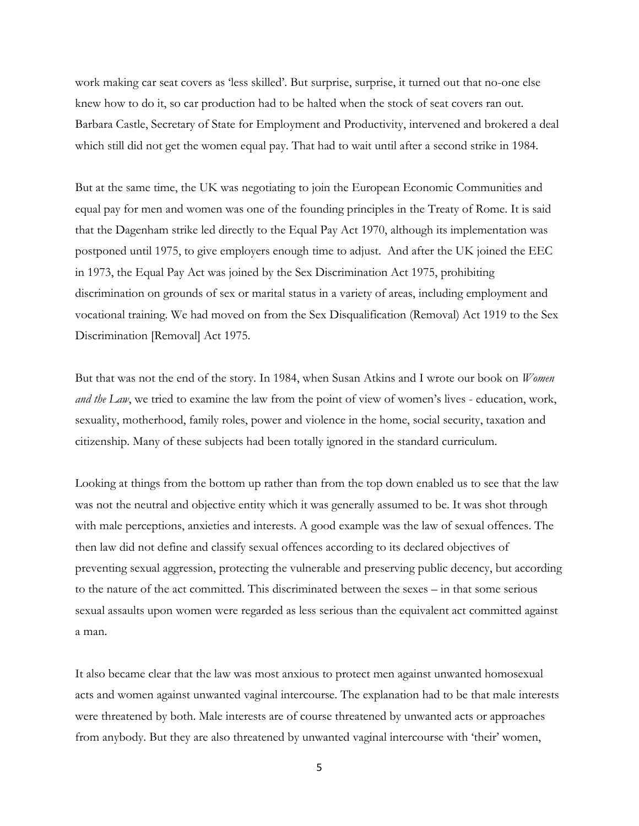work making car seat covers as 'less skilled'. But surprise, surprise, it turned out that no-one else knew how to do it, so car production had to be halted when the stock of seat covers ran out. Barbara Castle, Secretary of State for Employment and Productivity, intervened and brokered a deal which still did not get the women equal pay. That had to wait until after a second strike in 1984.

But at the same time, the UK was negotiating to join the European Economic Communities and equal pay for men and women was one of the founding principles in the Treaty of Rome. It is said that the Dagenham strike led directly to the Equal Pay Act 1970, although its implementation was postponed until 1975, to give employers enough time to adjust. And after the UK joined the EEC in 1973, the Equal Pay Act was joined by the Sex Discrimination Act 1975, prohibiting discrimination on grounds of sex or marital status in a variety of areas, including employment and vocational training. We had moved on from the Sex Disqualification (Removal) Act 1919 to the Sex Discrimination [Removal] Act 1975.

But that was not the end of the story. In 1984, when Susan Atkins and I wrote our book on *Women and the Law*, we tried to examine the law from the point of view of women's lives - education, work, sexuality, motherhood, family roles, power and violence in the home, social security, taxation and citizenship. Many of these subjects had been totally ignored in the standard curriculum.

Looking at things from the bottom up rather than from the top down enabled us to see that the law was not the neutral and objective entity which it was generally assumed to be. It was shot through with male perceptions, anxieties and interests. A good example was the law of sexual offences. The then law did not define and classify sexual offences according to its declared objectives of preventing sexual aggression, protecting the vulnerable and preserving public decency, but according to the nature of the act committed. This discriminated between the sexes – in that some serious sexual assaults upon women were regarded as less serious than the equivalent act committed against a man.

It also became clear that the law was most anxious to protect men against unwanted homosexual acts and women against unwanted vaginal intercourse. The explanation had to be that male interests were threatened by both. Male interests are of course threatened by unwanted acts or approaches from anybody. But they are also threatened by unwanted vaginal intercourse with 'their' women,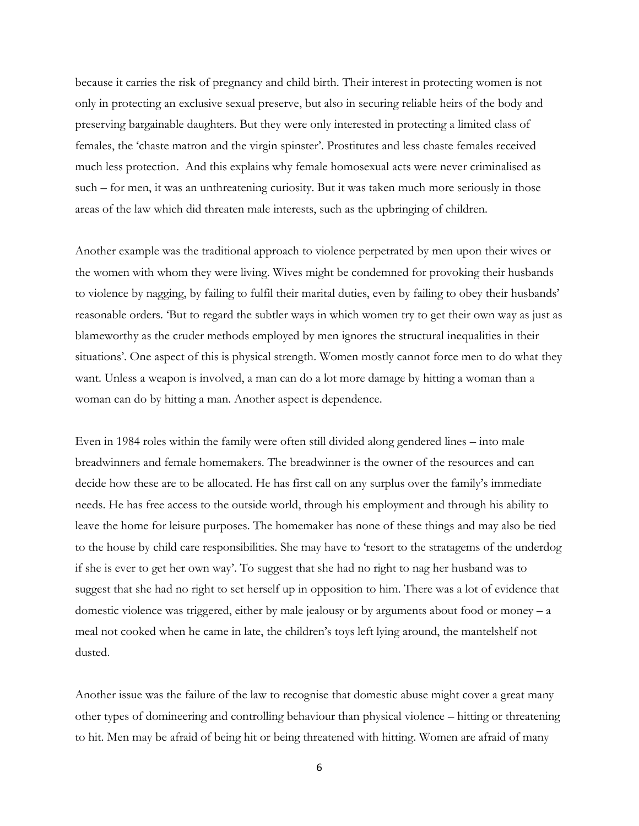because it carries the risk of pregnancy and child birth. Their interest in protecting women is not only in protecting an exclusive sexual preserve, but also in securing reliable heirs of the body and preserving bargainable daughters. But they were only interested in protecting a limited class of females, the 'chaste matron and the virgin spinster'. Prostitutes and less chaste females received much less protection. And this explains why female homosexual acts were never criminalised as such – for men, it was an unthreatening curiosity. But it was taken much more seriously in those areas of the law which did threaten male interests, such as the upbringing of children.

Another example was the traditional approach to violence perpetrated by men upon their wives or the women with whom they were living. Wives might be condemned for provoking their husbands to violence by nagging, by failing to fulfil their marital duties, even by failing to obey their husbands' reasonable orders. 'But to regard the subtler ways in which women try to get their own way as just as blameworthy as the cruder methods employed by men ignores the structural inequalities in their situations'. One aspect of this is physical strength. Women mostly cannot force men to do what they want. Unless a weapon is involved, a man can do a lot more damage by hitting a woman than a woman can do by hitting a man. Another aspect is dependence.

Even in 1984 roles within the family were often still divided along gendered lines – into male breadwinners and female homemakers. The breadwinner is the owner of the resources and can decide how these are to be allocated. He has first call on any surplus over the family's immediate needs. He has free access to the outside world, through his employment and through his ability to leave the home for leisure purposes. The homemaker has none of these things and may also be tied to the house by child care responsibilities. She may have to 'resort to the stratagems of the underdog if she is ever to get her own way'. To suggest that she had no right to nag her husband was to suggest that she had no right to set herself up in opposition to him. There was a lot of evidence that domestic violence was triggered, either by male jealousy or by arguments about food or money – a meal not cooked when he came in late, the children's toys left lying around, the mantelshelf not dusted.

Another issue was the failure of the law to recognise that domestic abuse might cover a great many other types of domineering and controlling behaviour than physical violence – hitting or threatening to hit. Men may be afraid of being hit or being threatened with hitting. Women are afraid of many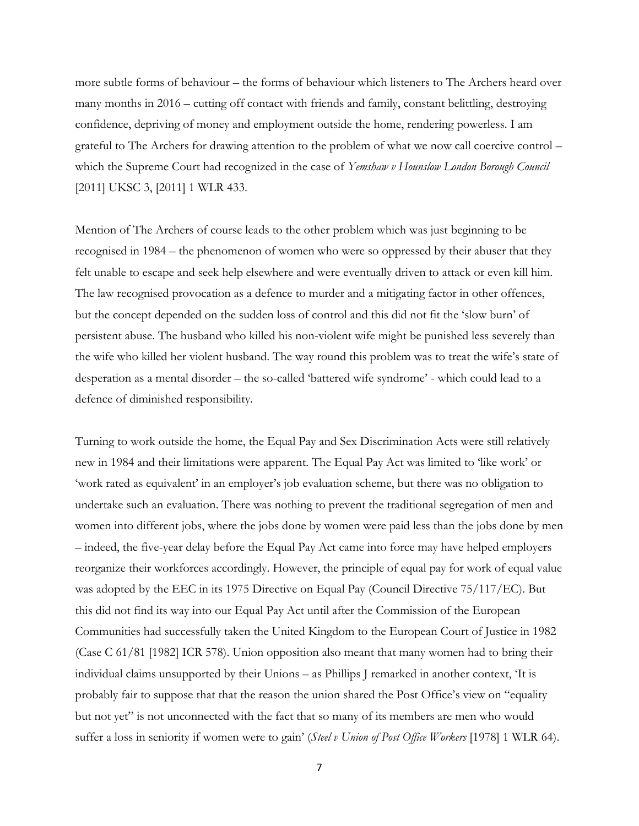more subtle forms of behaviour – the forms of behaviour which listeners to The Archers heard over many months in 2016 – cutting off contact with friends and family, constant belittling, destroying confidence, depriving of money and employment outside the home, rendering powerless. I am grateful to The Archers for drawing attention to the problem of what we now call coercive control – which the Supreme Court had recognized in the case of *Yemshaw v Hounslow London Borough Council*  [2011] UKSC 3, [2011] 1 WLR 433.

Mention of The Archers of course leads to the other problem which was just beginning to be recognised in 1984 – the phenomenon of women who were so oppressed by their abuser that they felt unable to escape and seek help elsewhere and were eventually driven to attack or even kill him. The law recognised provocation as a defence to murder and a mitigating factor in other offences, but the concept depended on the sudden loss of control and this did not fit the 'slow burn' of persistent abuse. The husband who killed his non-violent wife might be punished less severely than the wife who killed her violent husband. The way round this problem was to treat the wife's state of desperation as a mental disorder – the so-called 'battered wife syndrome' - which could lead to a defence of diminished responsibility.

Turning to work outside the home, the Equal Pay and Sex Discrimination Acts were still relatively new in 1984 and their limitations were apparent. The Equal Pay Act was limited to 'like work' or 'work rated as equivalent' in an employer's job evaluation scheme, but there was no obligation to undertake such an evaluation. There was nothing to prevent the traditional segregation of men and women into different jobs, where the jobs done by women were paid less than the jobs done by men – indeed, the five-year delay before the Equal Pay Act came into force may have helped employers reorganize their workforces accordingly. However, the principle of equal pay for work of equal value was adopted by the EEC in its 1975 Directive on Equal Pay (Council Directive 75/117/EC). But this did not find its way into our Equal Pay Act until after the Commission of the European Communities had successfully taken the United Kingdom to the European Court of Justice in 1982 (Case C 61/81 [1982] ICR 578). Union opposition also meant that many women had to bring their individual claims unsupported by their Unions – as Phillips J remarked in another context, 'It is probably fair to suppose that that the reason the union shared the Post Office's view on "equality but not yet" is not unconnected with the fact that so many of its members are men who would suffer a loss in seniority if women were to gain' (*Steel v Union of Post Office Workers* [1978] 1 WLR 64).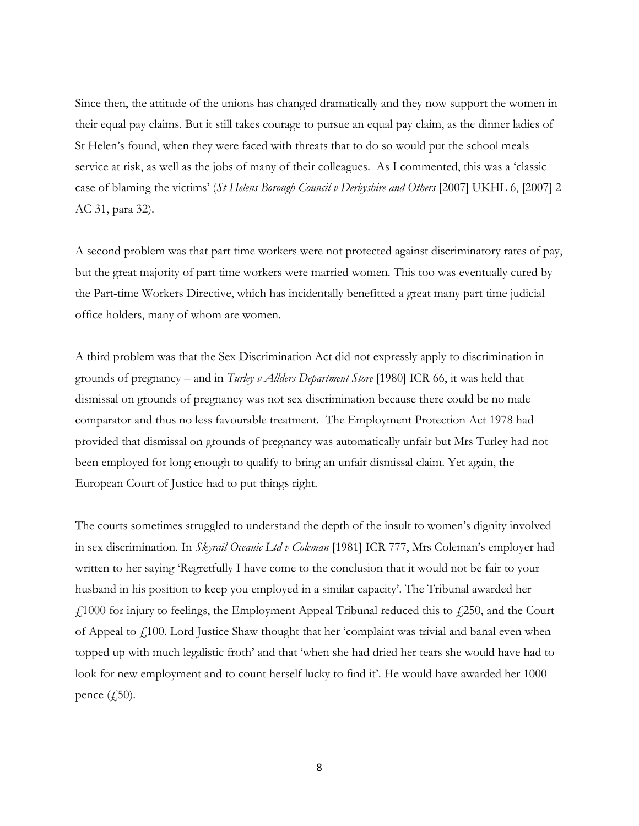Since then, the attitude of the unions has changed dramatically and they now support the women in their equal pay claims. But it still takes courage to pursue an equal pay claim, as the dinner ladies of St Helen's found, when they were faced with threats that to do so would put the school meals service at risk, as well as the jobs of many of their colleagues. As I commented, this was a 'classic case of blaming the victims' (*St Helens Borough Council v Derbyshire and Others* [2007] UKHL 6, [2007] 2 AC 31, para 32).

A second problem was that part time workers were not protected against discriminatory rates of pay, but the great majority of part time workers were married women. This too was eventually cured by the Part-time Workers Directive, which has incidentally benefitted a great many part time judicial office holders, many of whom are women.

A third problem was that the Sex Discrimination Act did not expressly apply to discrimination in grounds of pregnancy – and in *Turley v Allders Department Store* [1980] ICR 66, it was held that dismissal on grounds of pregnancy was not sex discrimination because there could be no male comparator and thus no less favourable treatment. The Employment Protection Act 1978 had provided that dismissal on grounds of pregnancy was automatically unfair but Mrs Turley had not been employed for long enough to qualify to bring an unfair dismissal claim. Yet again, the European Court of Justice had to put things right.

The courts sometimes struggled to understand the depth of the insult to women's dignity involved in sex discrimination. In *Skyrail Oceanic Ltd v Coleman* [1981] ICR 777, Mrs Coleman's employer had written to her saying 'Regretfully I have come to the conclusion that it would not be fair to your husband in his position to keep you employed in a similar capacity'. The Tribunal awarded her  $\angle$  1000 for injury to feelings, the Employment Appeal Tribunal reduced this to  $\angle$  250, and the Court of Appeal to £100. Lord Justice Shaw thought that her 'complaint was trivial and banal even when topped up with much legalistic froth' and that 'when she had dried her tears she would have had to look for new employment and to count herself lucky to find it'. He would have awarded her 1000 pence  $(f,50)$ .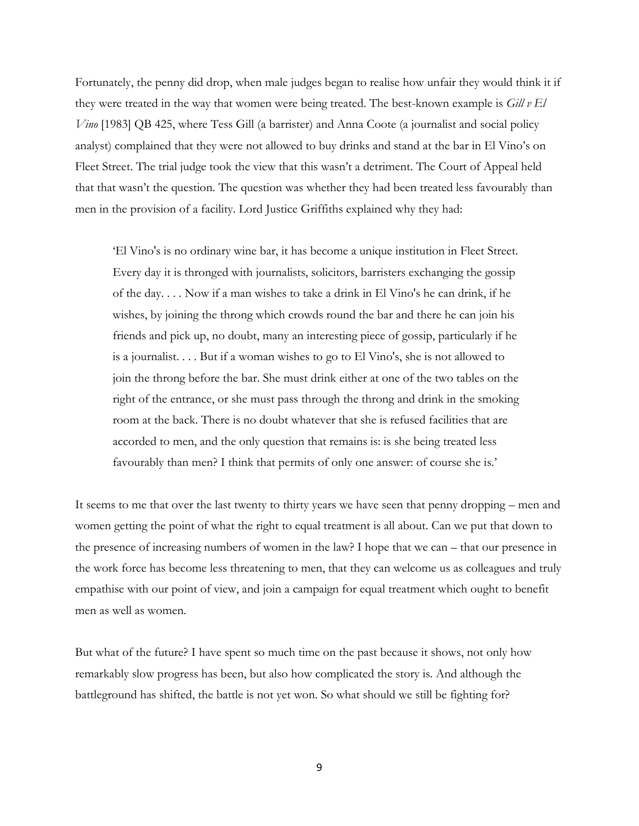Fortunately, the penny did drop, when male judges began to realise how unfair they would think it if they were treated in the way that women were being treated. The best-known example is *Gill v El Vino* [1983] QB 425, where Tess Gill (a barrister) and Anna Coote (a journalist and social policy analyst) complained that they were not allowed to buy drinks and stand at the bar in El Vino's on Fleet Street. The trial judge took the view that this wasn't a detriment. The Court of Appeal held that that wasn't the question. The question was whether they had been treated less favourably than men in the provision of a facility. Lord Justice Griffiths explained why they had:

'El Vino's is no ordinary wine bar, it has become a unique institution in Fleet Street. Every day it is thronged with journalists, solicitors, barristers exchanging the gossip of the day. . . . Now if a man wishes to take a drink in El Vino's he can drink, if he wishes, by joining the throng which crowds round the bar and there he can join his friends and pick up, no doubt, many an interesting piece of gossip, particularly if he is a journalist. . . . But if a woman wishes to go to El Vino's, she is not allowed to join the throng before the bar. She must drink either at one of the two tables on the right of the entrance, or she must pass through the throng and drink in the smoking room at the back. There is no doubt whatever that she is refused facilities that are accorded to men, and the only question that remains is: is she being treated less favourably than men? I think that permits of only one answer: of course she is.'

It seems to me that over the last twenty to thirty years we have seen that penny dropping – men and women getting the point of what the right to equal treatment is all about. Can we put that down to the presence of increasing numbers of women in the law? I hope that we can – that our presence in the work force has become less threatening to men, that they can welcome us as colleagues and truly empathise with our point of view, and join a campaign for equal treatment which ought to benefit men as well as women.

But what of the future? I have spent so much time on the past because it shows, not only how remarkably slow progress has been, but also how complicated the story is. And although the battleground has shifted, the battle is not yet won. So what should we still be fighting for?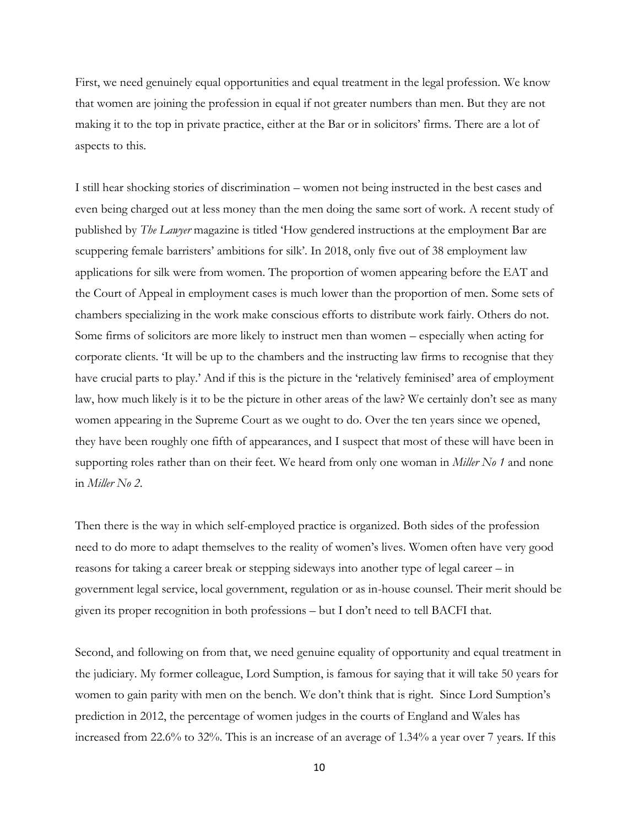First, we need genuinely equal opportunities and equal treatment in the legal profession. We know that women are joining the profession in equal if not greater numbers than men. But they are not making it to the top in private practice, either at the Bar or in solicitors' firms. There are a lot of aspects to this.

I still hear shocking stories of discrimination – women not being instructed in the best cases and even being charged out at less money than the men doing the same sort of work. A recent study of published by *The Lawyer* magazine is titled 'How gendered instructions at the employment Bar are scuppering female barristers' ambitions for silk'. In 2018, only five out of 38 employment law applications for silk were from women. The proportion of women appearing before the EAT and the Court of Appeal in employment cases is much lower than the proportion of men. Some sets of chambers specializing in the work make conscious efforts to distribute work fairly. Others do not. Some firms of solicitors are more likely to instruct men than women – especially when acting for corporate clients. 'It will be up to the chambers and the instructing law firms to recognise that they have crucial parts to play.' And if this is the picture in the 'relatively feminised' area of employment law, how much likely is it to be the picture in other areas of the law? We certainly don't see as many women appearing in the Supreme Court as we ought to do. Over the ten years since we opened, they have been roughly one fifth of appearances, and I suspect that most of these will have been in supporting roles rather than on their feet. We heard from only one woman in *Miller No 1* and none in *Miller No 2*.

Then there is the way in which self-employed practice is organized. Both sides of the profession need to do more to adapt themselves to the reality of women's lives. Women often have very good reasons for taking a career break or stepping sideways into another type of legal career – in government legal service, local government, regulation or as in-house counsel. Their merit should be given its proper recognition in both professions – but I don't need to tell BACFI that.

Second, and following on from that, we need genuine equality of opportunity and equal treatment in the judiciary. My former colleague, Lord Sumption, is famous for saying that it will take 50 years for women to gain parity with men on the bench. We don't think that is right. Since Lord Sumption's prediction in 2012, the percentage of women judges in the courts of England and Wales has increased from 22.6% to 32%. This is an increase of an average of 1.34% a year over 7 years. If this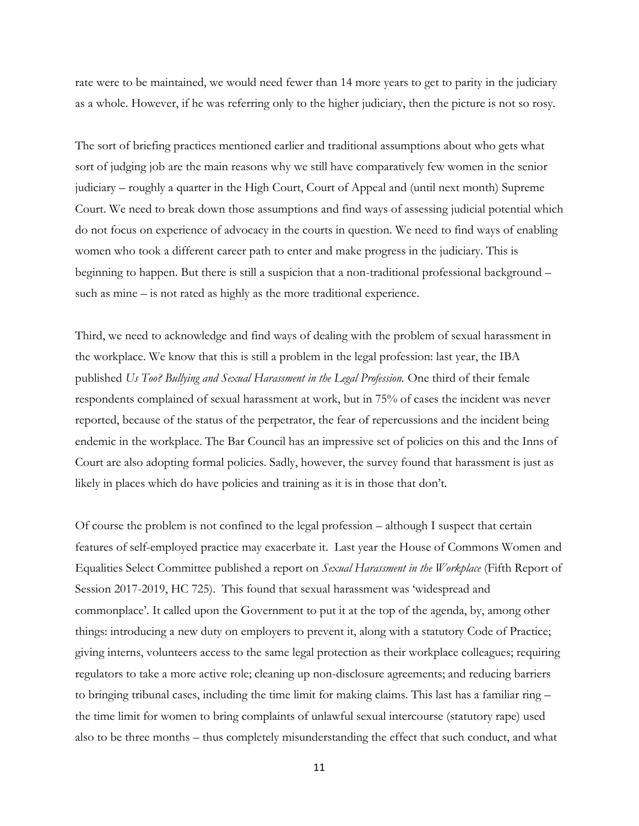rate were to be maintained, we would need fewer than 14 more years to get to parity in the judiciary as a whole. However, if he was referring only to the higher judiciary, then the picture is not so rosy.

The sort of briefing practices mentioned earlier and traditional assumptions about who gets what sort of judging job are the main reasons why we still have comparatively few women in the senior judiciary – roughly a quarter in the High Court, Court of Appeal and (until next month) Supreme Court. We need to break down those assumptions and find ways of assessing judicial potential which do not focus on experience of advocacy in the courts in question. We need to find ways of enabling women who took a different career path to enter and make progress in the judiciary. This is beginning to happen. But there is still a suspicion that a non-traditional professional background – such as mine – is not rated as highly as the more traditional experience.

Third, we need to acknowledge and find ways of dealing with the problem of sexual harassment in the workplace. We know that this is still a problem in the legal profession: last year, the IBA published *Us Too? Bullying and Sexual Harassment in the Legal Profession.* One third of their female respondents complained of sexual harassment at work, but in 75% of cases the incident was never reported, because of the status of the perpetrator, the fear of repercussions and the incident being endemic in the workplace. The Bar Council has an impressive set of policies on this and the Inns of Court are also adopting formal policies. Sadly, however, the survey found that harassment is just as likely in places which do have policies and training as it is in those that don't.

Of course the problem is not confined to the legal profession – although I suspect that certain features of self-employed practice may exacerbate it. Last year the House of Commons Women and Equalities Select Committee published a report on *Sexual Harassment in the Workplace* (Fifth Report of Session 2017-2019, HC 725). This found that sexual harassment was 'widespread and commonplace'. It called upon the Government to put it at the top of the agenda, by, among other things: introducing a new duty on employers to prevent it, along with a statutory Code of Practice; giving interns, volunteers access to the same legal protection as their workplace colleagues; requiring regulators to take a more active role; cleaning up non-disclosure agreements; and reducing barriers to bringing tribunal cases, including the time limit for making claims. This last has a familiar ring – the time limit for women to bring complaints of unlawful sexual intercourse (statutory rape) used also to be three months – thus completely misunderstanding the effect that such conduct, and what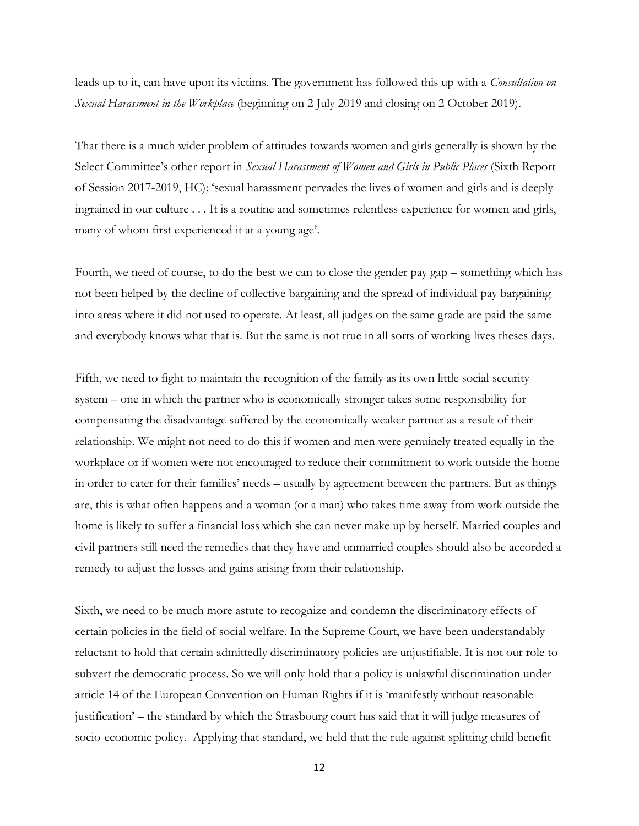leads up to it, can have upon its victims. The government has followed this up with a *Consultation on Sexual Harassment in the Workplace* (beginning on 2 July 2019 and closing on 2 October 2019).

That there is a much wider problem of attitudes towards women and girls generally is shown by the Select Committee's other report in *Sexual Harassment of Women and Girls in Public Places* (Sixth Report of Session 2017-2019, HC): 'sexual harassment pervades the lives of women and girls and is deeply ingrained in our culture . . . It is a routine and sometimes relentless experience for women and girls, many of whom first experienced it at a young age'.

Fourth, we need of course, to do the best we can to close the gender pay gap – something which has not been helped by the decline of collective bargaining and the spread of individual pay bargaining into areas where it did not used to operate. At least, all judges on the same grade are paid the same and everybody knows what that is. But the same is not true in all sorts of working lives theses days.

Fifth, we need to fight to maintain the recognition of the family as its own little social security system – one in which the partner who is economically stronger takes some responsibility for compensating the disadvantage suffered by the economically weaker partner as a result of their relationship. We might not need to do this if women and men were genuinely treated equally in the workplace or if women were not encouraged to reduce their commitment to work outside the home in order to cater for their families' needs – usually by agreement between the partners. But as things are, this is what often happens and a woman (or a man) who takes time away from work outside the home is likely to suffer a financial loss which she can never make up by herself. Married couples and civil partners still need the remedies that they have and unmarried couples should also be accorded a remedy to adjust the losses and gains arising from their relationship.

Sixth, we need to be much more astute to recognize and condemn the discriminatory effects of certain policies in the field of social welfare. In the Supreme Court, we have been understandably reluctant to hold that certain admittedly discriminatory policies are unjustifiable. It is not our role to subvert the democratic process. So we will only hold that a policy is unlawful discrimination under article 14 of the European Convention on Human Rights if it is 'manifestly without reasonable justification' – the standard by which the Strasbourg court has said that it will judge measures of socio-economic policy. Applying that standard, we held that the rule against splitting child benefit